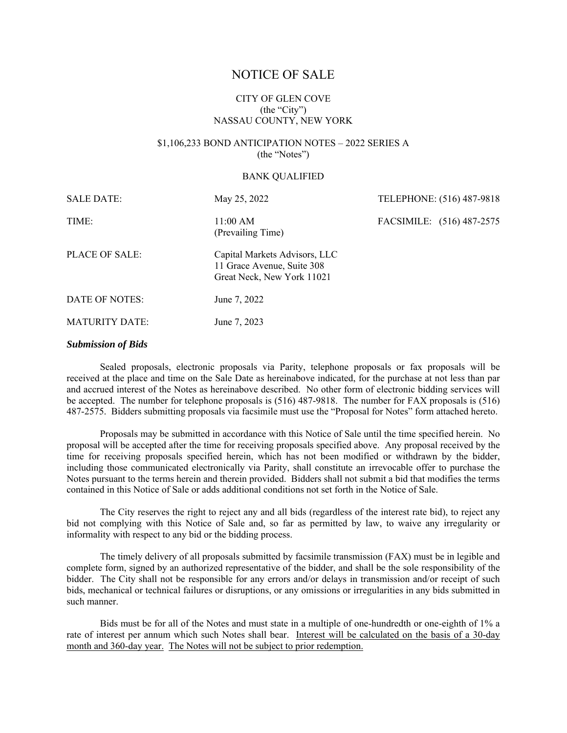# NOTICE OF SALE

# CITY OF GLEN COVE (the "City") NASSAU COUNTY, NEW YORK

# \$1,106,233 BOND ANTICIPATION NOTES – 2022 SERIES A (the "Notes")

#### BANK QUALIFIED

| <b>SALE DATE:</b>     | May 25, 2022                                                                              | TELEPHONE: (516) 487-9818 |
|-----------------------|-------------------------------------------------------------------------------------------|---------------------------|
| TIME:                 | 11:00 AM<br>(Prevailing Time)                                                             | FACSIMILE: (516) 487-2575 |
| PLACE OF SALE:        | Capital Markets Advisors, LLC<br>11 Grace Avenue, Suite 308<br>Great Neck, New York 11021 |                           |
| DATE OF NOTES:        | June 7, 2022                                                                              |                           |
| <b>MATURITY DATE:</b> | June 7, 2023                                                                              |                           |

#### *Submission of Bids*

Sealed proposals, electronic proposals via Parity, telephone proposals or fax proposals will be received at the place and time on the Sale Date as hereinabove indicated, for the purchase at not less than par and accrued interest of the Notes as hereinabove described. No other form of electronic bidding services will be accepted. The number for telephone proposals is (516) 487-9818. The number for FAX proposals is (516) 487-2575. Bidders submitting proposals via facsimile must use the "Proposal for Notes" form attached hereto.

Proposals may be submitted in accordance with this Notice of Sale until the time specified herein. No proposal will be accepted after the time for receiving proposals specified above. Any proposal received by the time for receiving proposals specified herein, which has not been modified or withdrawn by the bidder, including those communicated electronically via Parity, shall constitute an irrevocable offer to purchase the Notes pursuant to the terms herein and therein provided. Bidders shall not submit a bid that modifies the terms contained in this Notice of Sale or adds additional conditions not set forth in the Notice of Sale.

The City reserves the right to reject any and all bids (regardless of the interest rate bid), to reject any bid not complying with this Notice of Sale and, so far as permitted by law, to waive any irregularity or informality with respect to any bid or the bidding process.

The timely delivery of all proposals submitted by facsimile transmission (FAX) must be in legible and complete form, signed by an authorized representative of the bidder, and shall be the sole responsibility of the bidder. The City shall not be responsible for any errors and/or delays in transmission and/or receipt of such bids, mechanical or technical failures or disruptions, or any omissions or irregularities in any bids submitted in such manner.

Bids must be for all of the Notes and must state in a multiple of one-hundredth or one-eighth of 1% a rate of interest per annum which such Notes shall bear. Interest will be calculated on the basis of a 30-day month and 360-day year. The Notes will not be subject to prior redemption.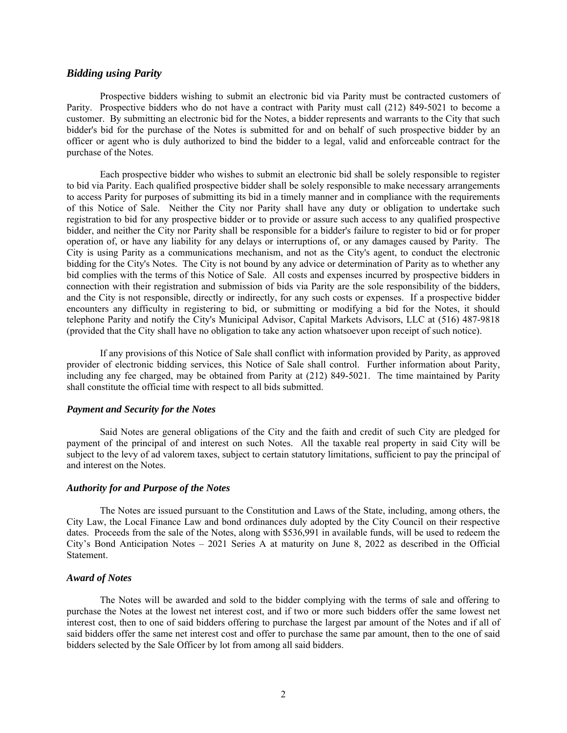# *Bidding using Parity*

Prospective bidders wishing to submit an electronic bid via Parity must be contracted customers of Parity. Prospective bidders who do not have a contract with Parity must call (212) 849-5021 to become a customer. By submitting an electronic bid for the Notes, a bidder represents and warrants to the City that such bidder's bid for the purchase of the Notes is submitted for and on behalf of such prospective bidder by an officer or agent who is duly authorized to bind the bidder to a legal, valid and enforceable contract for the purchase of the Notes.

Each prospective bidder who wishes to submit an electronic bid shall be solely responsible to register to bid via Parity. Each qualified prospective bidder shall be solely responsible to make necessary arrangements to access Parity for purposes of submitting its bid in a timely manner and in compliance with the requirements of this Notice of Sale. Neither the City nor Parity shall have any duty or obligation to undertake such registration to bid for any prospective bidder or to provide or assure such access to any qualified prospective bidder, and neither the City nor Parity shall be responsible for a bidder's failure to register to bid or for proper operation of, or have any liability for any delays or interruptions of, or any damages caused by Parity. The City is using Parity as a communications mechanism, and not as the City's agent, to conduct the electronic bidding for the City's Notes. The City is not bound by any advice or determination of Parity as to whether any bid complies with the terms of this Notice of Sale. All costs and expenses incurred by prospective bidders in connection with their registration and submission of bids via Parity are the sole responsibility of the bidders, and the City is not responsible, directly or indirectly, for any such costs or expenses. If a prospective bidder encounters any difficulty in registering to bid, or submitting or modifying a bid for the Notes, it should telephone Parity and notify the City's Municipal Advisor, Capital Markets Advisors, LLC at (516) 487-9818 (provided that the City shall have no obligation to take any action whatsoever upon receipt of such notice).

If any provisions of this Notice of Sale shall conflict with information provided by Parity, as approved provider of electronic bidding services, this Notice of Sale shall control. Further information about Parity, including any fee charged, may be obtained from Parity at (212) 849-5021. The time maintained by Parity shall constitute the official time with respect to all bids submitted.

#### *Payment and Security for the Notes*

Said Notes are general obligations of the City and the faith and credit of such City are pledged for payment of the principal of and interest on such Notes. All the taxable real property in said City will be subject to the levy of ad valorem taxes, subject to certain statutory limitations, sufficient to pay the principal of and interest on the Notes.

#### *Authority for and Purpose of the Notes*

The Notes are issued pursuant to the Constitution and Laws of the State, including, among others, the City Law, the Local Finance Law and bond ordinances duly adopted by the City Council on their respective dates. Proceeds from the sale of the Notes, along with \$536,991 in available funds, will be used to redeem the City's Bond Anticipation Notes – 2021 Series A at maturity on June 8, 2022 as described in the Official Statement.

#### *Award of Notes*

The Notes will be awarded and sold to the bidder complying with the terms of sale and offering to purchase the Notes at the lowest net interest cost, and if two or more such bidders offer the same lowest net interest cost, then to one of said bidders offering to purchase the largest par amount of the Notes and if all of said bidders offer the same net interest cost and offer to purchase the same par amount, then to the one of said bidders selected by the Sale Officer by lot from among all said bidders.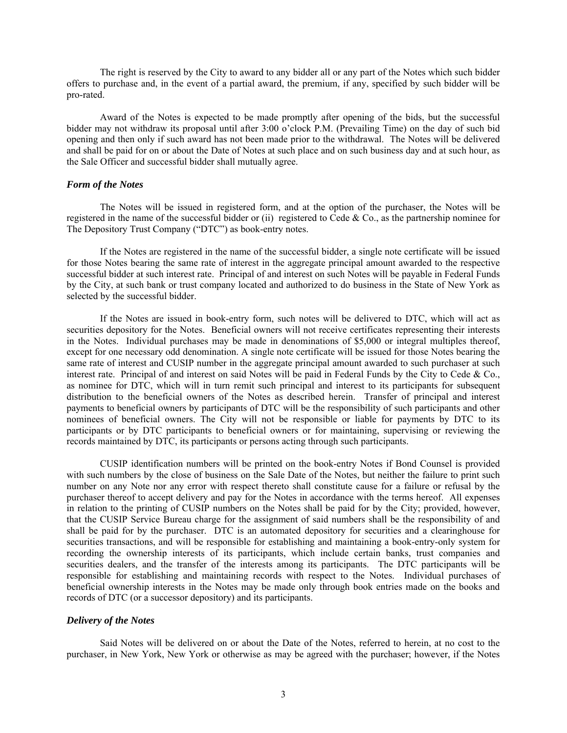The right is reserved by the City to award to any bidder all or any part of the Notes which such bidder offers to purchase and, in the event of a partial award, the premium, if any, specified by such bidder will be pro-rated.

Award of the Notes is expected to be made promptly after opening of the bids, but the successful bidder may not withdraw its proposal until after 3:00 o'clock P.M. (Prevailing Time) on the day of such bid opening and then only if such award has not been made prior to the withdrawal. The Notes will be delivered and shall be paid for on or about the Date of Notes at such place and on such business day and at such hour, as the Sale Officer and successful bidder shall mutually agree.

#### *Form of the Notes*

The Notes will be issued in registered form, and at the option of the purchaser, the Notes will be registered in the name of the successful bidder or (ii) registered to Cede & Co., as the partnership nominee for The Depository Trust Company ("DTC") as book-entry notes.

If the Notes are registered in the name of the successful bidder, a single note certificate will be issued for those Notes bearing the same rate of interest in the aggregate principal amount awarded to the respective successful bidder at such interest rate. Principal of and interest on such Notes will be payable in Federal Funds by the City, at such bank or trust company located and authorized to do business in the State of New York as selected by the successful bidder.

If the Notes are issued in book-entry form, such notes will be delivered to DTC, which will act as securities depository for the Notes. Beneficial owners will not receive certificates representing their interests in the Notes. Individual purchases may be made in denominations of \$5,000 or integral multiples thereof, except for one necessary odd denomination. A single note certificate will be issued for those Notes bearing the same rate of interest and CUSIP number in the aggregate principal amount awarded to such purchaser at such interest rate. Principal of and interest on said Notes will be paid in Federal Funds by the City to Cede & Co., as nominee for DTC, which will in turn remit such principal and interest to its participants for subsequent distribution to the beneficial owners of the Notes as described herein. Transfer of principal and interest payments to beneficial owners by participants of DTC will be the responsibility of such participants and other nominees of beneficial owners. The City will not be responsible or liable for payments by DTC to its participants or by DTC participants to beneficial owners or for maintaining, supervising or reviewing the records maintained by DTC, its participants or persons acting through such participants.

CUSIP identification numbers will be printed on the book-entry Notes if Bond Counsel is provided with such numbers by the close of business on the Sale Date of the Notes, but neither the failure to print such number on any Note nor any error with respect thereto shall constitute cause for a failure or refusal by the purchaser thereof to accept delivery and pay for the Notes in accordance with the terms hereof. All expenses in relation to the printing of CUSIP numbers on the Notes shall be paid for by the City; provided, however, that the CUSIP Service Bureau charge for the assignment of said numbers shall be the responsibility of and shall be paid for by the purchaser. DTC is an automated depository for securities and a clearinghouse for securities transactions, and will be responsible for establishing and maintaining a book-entry-only system for recording the ownership interests of its participants, which include certain banks, trust companies and securities dealers, and the transfer of the interests among its participants. The DTC participants will be responsible for establishing and maintaining records with respect to the Notes. Individual purchases of beneficial ownership interests in the Notes may be made only through book entries made on the books and records of DTC (or a successor depository) and its participants.

### *Delivery of the Notes*

Said Notes will be delivered on or about the Date of the Notes, referred to herein, at no cost to the purchaser, in New York, New York or otherwise as may be agreed with the purchaser; however, if the Notes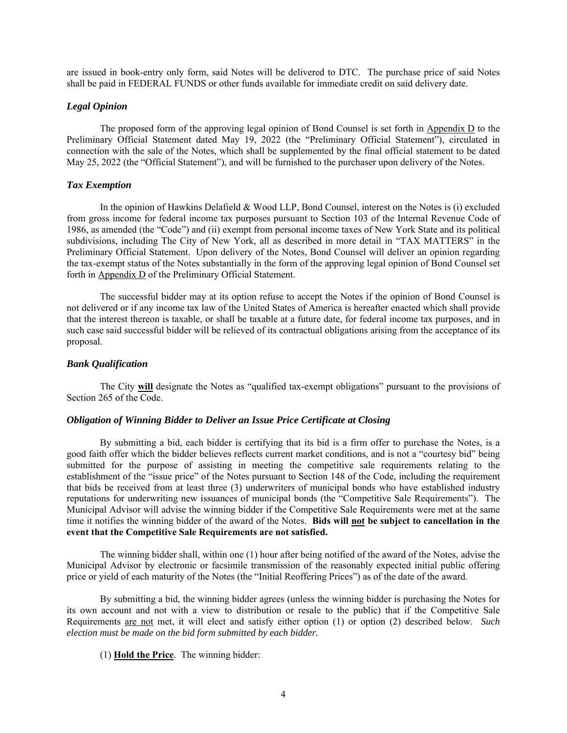are issued in book-entry only form, said Notes will be delivered to DTC. The purchase price of said Notes shall be paid in FEDERAL FUNDS or other funds available for immediate credit on said delivery date.

# *Legal Opinion*

The proposed form of the approving legal opinion of Bond Counsel is set forth in Appendix D to the Preliminary Official Statement dated May 19, 2022 (the "Preliminary Official Statement"), circulated in connection with the sale of the Notes, which shall be supplemented by the final official statement to be dated May 25, 2022 (the "Official Statement"), and will be furnished to the purchaser upon delivery of the Notes.

#### *Tax Exemption*

In the opinion of Hawkins Delafield & Wood LLP, Bond Counsel, interest on the Notes is (i) excluded from gross income for federal income tax purposes pursuant to Section 103 of the Internal Revenue Code of 1986, as amended (the "Code") and (ii) exempt from personal income taxes of New York State and its political subdivisions, including The City of New York, all as described in more detail in "TAX MATTERS" in the Preliminary Official Statement. Upon delivery of the Notes, Bond Counsel will deliver an opinion regarding the tax-exempt status of the Notes substantially in the form of the approving legal opinion of Bond Counsel set forth in Appendix D of the Preliminary Official Statement.

The successful bidder may at its option refuse to accept the Notes if the opinion of Bond Counsel is not delivered or if any income tax law of the United States of America is hereafter enacted which shall provide that the interest thereon is taxable, or shall be taxable at a future date, for federal income tax purposes, and in such case said successful bidder will be relieved of its contractual obligations arising from the acceptance of its proposal.

#### *Bank Qualification*

The City **will** designate the Notes as "qualified tax-exempt obligations" pursuant to the provisions of Section 265 of the Code.

# *Obligation of Winning Bidder to Deliver an Issue Price Certificate at Closing*

By submitting a bid, each bidder is certifying that its bid is a firm offer to purchase the Notes, is a good faith offer which the bidder believes reflects current market conditions, and is not a "courtesy bid" being submitted for the purpose of assisting in meeting the competitive sale requirements relating to the establishment of the "issue price" of the Notes pursuant to Section 148 of the Code, including the requirement that bids be received from at least three (3) underwriters of municipal bonds who have established industry reputations for underwriting new issuances of municipal bonds (the "Competitive Sale Requirements"). The Municipal Advisor will advise the winning bidder if the Competitive Sale Requirements were met at the same time it notifies the winning bidder of the award of the Notes. **Bids will not be subject to cancellation in the event that the Competitive Sale Requirements are not satisfied.**

The winning bidder shall, within one (1) hour after being notified of the award of the Notes, advise the Municipal Advisor by electronic or facsimile transmission of the reasonably expected initial public offering price or yield of each maturity of the Notes (the "Initial Reoffering Prices") as of the date of the award.

By submitting a bid, the winning bidder agrees (unless the winning bidder is purchasing the Notes for its own account and not with a view to distribution or resale to the public) that if the Competitive Sale Requirements are not met, it will elect and satisfy either option (1) or option (2) described below. *Such election must be made on the bid form submitted by each bidder.*

(1) **Hold the Price**. The winning bidder: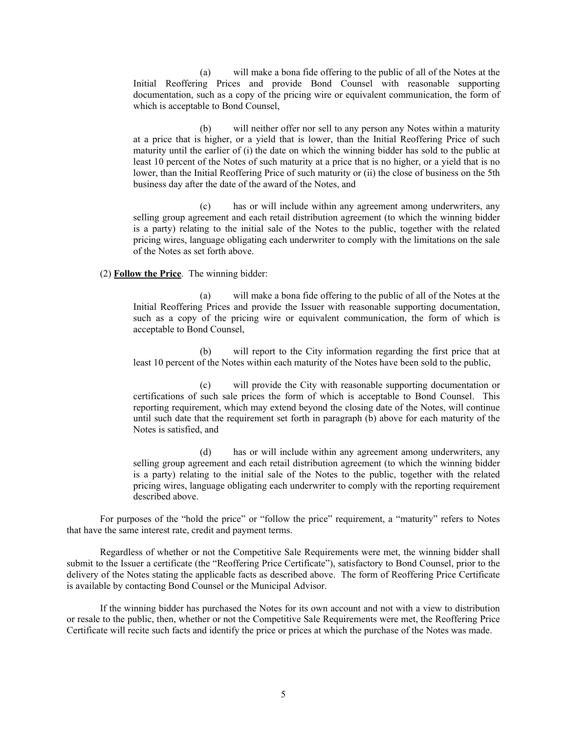(a) will make a bona fide offering to the public of all of the Notes at the Initial Reoffering Prices and provide Bond Counsel with reasonable supporting documentation, such as a copy of the pricing wire or equivalent communication, the form of which is acceptable to Bond Counsel,

(b) will neither offer nor sell to any person any Notes within a maturity at a price that is higher, or a yield that is lower, than the Initial Reoffering Price of such maturity until the earlier of (i) the date on which the winning bidder has sold to the public at least 10 percent of the Notes of such maturity at a price that is no higher, or a yield that is no lower, than the Initial Reoffering Price of such maturity or (ii) the close of business on the 5th business day after the date of the award of the Notes, and

(c) has or will include within any agreement among underwriters, any selling group agreement and each retail distribution agreement (to which the winning bidder is a party) relating to the initial sale of the Notes to the public, together with the related pricing wires, language obligating each underwriter to comply with the limitations on the sale of the Notes as set forth above.

#### (2) **Follow the Price**. The winning bidder:

(a) will make a bona fide offering to the public of all of the Notes at the Initial Reoffering Prices and provide the Issuer with reasonable supporting documentation, such as a copy of the pricing wire or equivalent communication, the form of which is acceptable to Bond Counsel,

(b) will report to the City information regarding the first price that at least 10 percent of the Notes within each maturity of the Notes have been sold to the public,

(c) will provide the City with reasonable supporting documentation or certifications of such sale prices the form of which is acceptable to Bond Counsel. This reporting requirement, which may extend beyond the closing date of the Notes, will continue until such date that the requirement set forth in paragraph (b) above for each maturity of the Notes is satisfied, and

(d) has or will include within any agreement among underwriters, any selling group agreement and each retail distribution agreement (to which the winning bidder is a party) relating to the initial sale of the Notes to the public, together with the related pricing wires, language obligating each underwriter to comply with the reporting requirement described above.

For purposes of the "hold the price" or "follow the price" requirement, a "maturity" refers to Notes that have the same interest rate, credit and payment terms.

Regardless of whether or not the Competitive Sale Requirements were met, the winning bidder shall submit to the Issuer a certificate (the "Reoffering Price Certificate"), satisfactory to Bond Counsel, prior to the delivery of the Notes stating the applicable facts as described above. The form of Reoffering Price Certificate is available by contacting Bond Counsel or the Municipal Advisor.

If the winning bidder has purchased the Notes for its own account and not with a view to distribution or resale to the public, then, whether or not the Competitive Sale Requirements were met, the Reoffering Price Certificate will recite such facts and identify the price or prices at which the purchase of the Notes was made.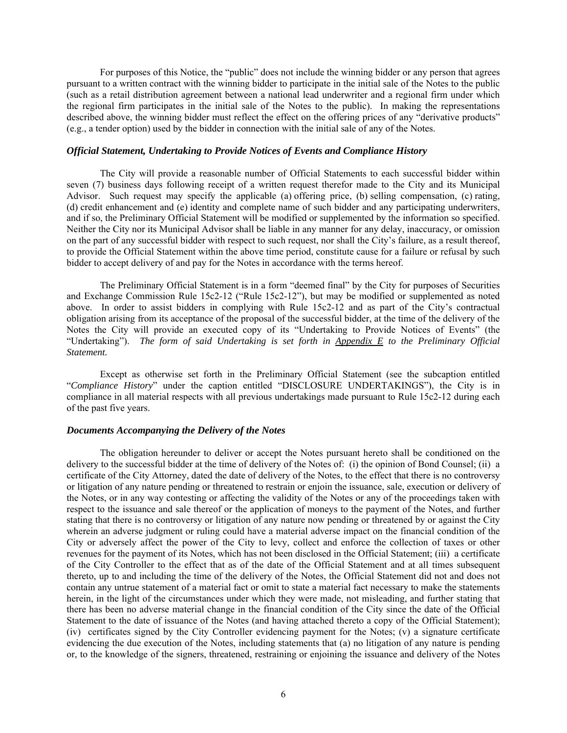For purposes of this Notice, the "public" does not include the winning bidder or any person that agrees pursuant to a written contract with the winning bidder to participate in the initial sale of the Notes to the public (such as a retail distribution agreement between a national lead underwriter and a regional firm under which the regional firm participates in the initial sale of the Notes to the public). In making the representations described above, the winning bidder must reflect the effect on the offering prices of any "derivative products" (e.g., a tender option) used by the bidder in connection with the initial sale of any of the Notes.

#### *Official Statement, Undertaking to Provide Notices of Events and Compliance History*

The City will provide a reasonable number of Official Statements to each successful bidder within seven (7) business days following receipt of a written request therefor made to the City and its Municipal Advisor. Such request may specify the applicable (a) offering price, (b) selling compensation, (c) rating, (d) credit enhancement and (e) identity and complete name of such bidder and any participating underwriters, and if so, the Preliminary Official Statement will be modified or supplemented by the information so specified. Neither the City nor its Municipal Advisor shall be liable in any manner for any delay, inaccuracy, or omission on the part of any successful bidder with respect to such request, nor shall the City's failure, as a result thereof, to provide the Official Statement within the above time period, constitute cause for a failure or refusal by such bidder to accept delivery of and pay for the Notes in accordance with the terms hereof.

The Preliminary Official Statement is in a form "deemed final" by the City for purposes of Securities and Exchange Commission Rule 15c2-12 ("Rule 15c2-12"), but may be modified or supplemented as noted above. In order to assist bidders in complying with Rule 15c2-12 and as part of the City's contractual obligation arising from its acceptance of the proposal of the successful bidder, at the time of the delivery of the Notes the City will provide an executed copy of its "Undertaking to Provide Notices of Events" (the "Undertaking"). *The form of said Undertaking is set forth in Appendix E to the Preliminary Official Statement.*

Except as otherwise set forth in the Preliminary Official Statement (see the subcaption entitled "*Compliance History*" under the caption entitled "DISCLOSURE UNDERTAKINGS"), the City is in compliance in all material respects with all previous undertakings made pursuant to Rule 15c2-12 during each of the past five years.

#### *Documents Accompanying the Delivery of the Notes*

The obligation hereunder to deliver or accept the Notes pursuant hereto shall be conditioned on the delivery to the successful bidder at the time of delivery of the Notes of: (i) the opinion of Bond Counsel; (ii) a certificate of the City Attorney, dated the date of delivery of the Notes, to the effect that there is no controversy or litigation of any nature pending or threatened to restrain or enjoin the issuance, sale, execution or delivery of the Notes, or in any way contesting or affecting the validity of the Notes or any of the proceedings taken with respect to the issuance and sale thereof or the application of moneys to the payment of the Notes, and further stating that there is no controversy or litigation of any nature now pending or threatened by or against the City wherein an adverse judgment or ruling could have a material adverse impact on the financial condition of the City or adversely affect the power of the City to levy, collect and enforce the collection of taxes or other revenues for the payment of its Notes, which has not been disclosed in the Official Statement; (iii) a certificate of the City Controller to the effect that as of the date of the Official Statement and at all times subsequent thereto, up to and including the time of the delivery of the Notes, the Official Statement did not and does not contain any untrue statement of a material fact or omit to state a material fact necessary to make the statements herein, in the light of the circumstances under which they were made, not misleading, and further stating that there has been no adverse material change in the financial condition of the City since the date of the Official Statement to the date of issuance of the Notes (and having attached thereto a copy of the Official Statement); (iv) certificates signed by the City Controller evidencing payment for the Notes; (v) a signature certificate evidencing the due execution of the Notes, including statements that (a) no litigation of any nature is pending or, to the knowledge of the signers, threatened, restraining or enjoining the issuance and delivery of the Notes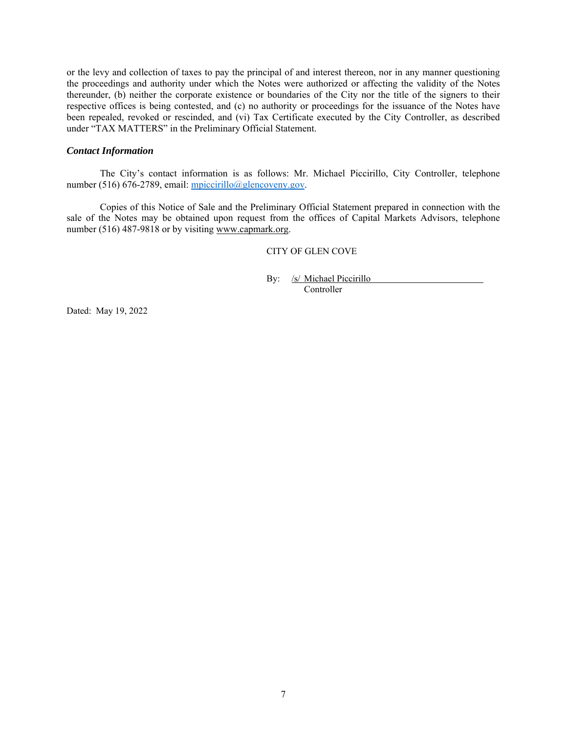or the levy and collection of taxes to pay the principal of and interest thereon, nor in any manner questioning the proceedings and authority under which the Notes were authorized or affecting the validity of the Notes thereunder, (b) neither the corporate existence or boundaries of the City nor the title of the signers to their respective offices is being contested, and (c) no authority or proceedings for the issuance of the Notes have been repealed, revoked or rescinded, and (vi) Tax Certificate executed by the City Controller, as described under "TAX MATTERS" in the Preliminary Official Statement.

#### *Contact Information*

The City's contact information is as follows: Mr. Michael Piccirillo, City Controller, telephone number (516) 676-2789, email: mpiccirillo@glencoveny.gov.

Copies of this Notice of Sale and the Preliminary Official Statement prepared in connection with the sale of the Notes may be obtained upon request from the offices of Capital Markets Advisors, telephone number (516) 487-9818 or by visiting www.capmark.org.

# CITY OF GLEN COVE

By: /s/ Michael Piccirillo Controller

Dated: May 19, 2022